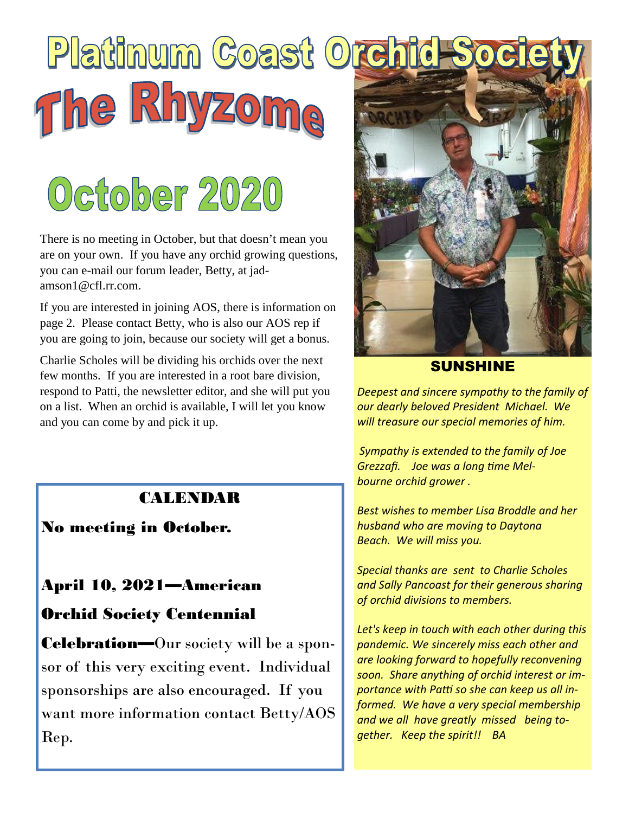# Platinum Coast Orchid The Rhyzoma

## October 2020

There is no meeting in October, but that doesn't mean you are on your own. If you have any orchid growing questions, you can e-mail our forum leader, Betty, at jadamson $1@cf1rr$  com.

If you are interested in joining AOS, there is information on page 2. Please contact Betty, who is also our AOS rep if you are going to join, because our society will get a bonus.

Charlie Scholes will be dividing his orchids over the next few months. If you are interested in a root bare division, respond to Patti, the newsletter editor, and she will put you on a list. When an orchid is available, I will let you know and you can come by and pick it up.

## CALENDAR

No meeting in October.

## April 10, 2021—American

## Orchid Society Centennial

**Celebration—Our** society will be a sponsor of this very exciting event. Individual sponsorships are also encouraged. If you want more information contact Betty/AOS Rep.



#### SUNSHINE

*Deepest and sincere sympathy to the family of our dearly beloved President Michael. We will treasure our special memories of him.*

*Sympathy is extended to the family of Joe*  $G$ rezzafi. Joe was a long time Mel*bourne orchid grower .*

*Best wishes to member Lisa Broddle and her husband who are moving to Daytona Beach. We will miss you.*

*Special thanks are sent to Charlie Scholes and Sally Pancoast for their generous sharing of orchid divisions to members.*

*Let's keep in touch with each other during this pandemic. We sincerely miss each other and are looking forward to hopefully reconvening soon. Share anything of orchid interest or im-* $\overline{p}$  *portance with Patti so she can keep us all informed. We have a very special membership and we all have greatly missed being together. Keep the spirit!! BA*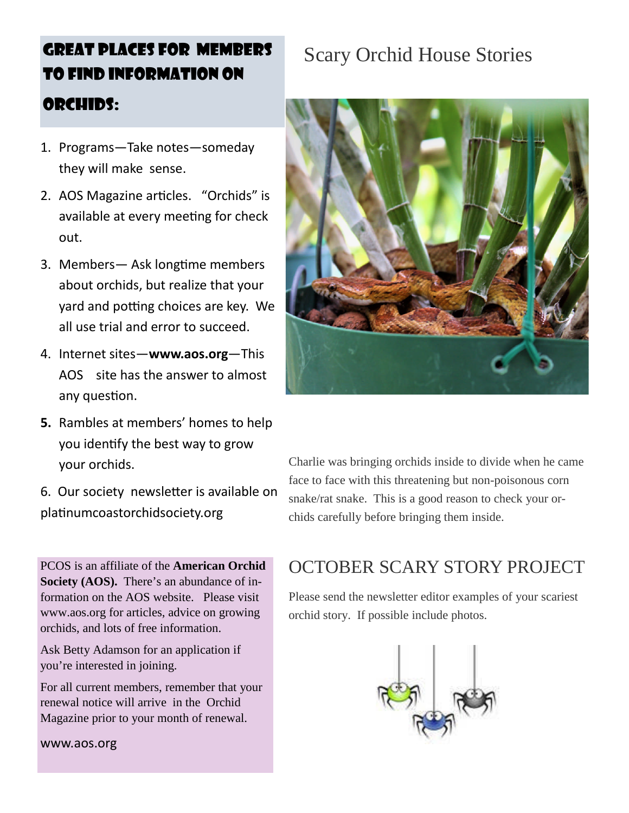## GREAT PLACES FOR MEMBERS TO FIND INFORMATION ON ORCHIDS:

#### 1. Programs—Take notes—someday they will make sense.

- 2. AOS Magazine articles. "Orchids" is available at every meeting for check out.
- 3. Members— Ask longtime members about orchids, but realize that your yard and potting choices are key. We all use trial and error to succeed.
- 4. Internet sites—**www.aos.org**—This AOS site has the answer to almost any question.
- **5.** Rambles at members' homes to help you identify the best way to grow your orchids.
- 6. Our society newsletter is available on platinum coastor chidsociety.org

PCOS is an affiliate of the **American Orchid Society (AOS).** There's an abundance of information on the AOS website. Please visit www.aos.org for articles, advice on growing orchids, and lots of free information.

Ask Betty Adamson for an application if you're interested in joining.

For all current members, remember that your renewal notice will arrive in the Orchid Magazine prior to your month of renewal.

www.aos.org

## Scary Orchid House Stories



Charlie was bringing orchids inside to divide when he came face to face with this threatening but non-poisonous corn snake/rat snake. This is a good reason to check your orchids carefully before bringing them inside.

## OCTOBER SCARY STORY PROJECT

Please send the newsletter editor examples of your scariest orchid story. If possible include photos.

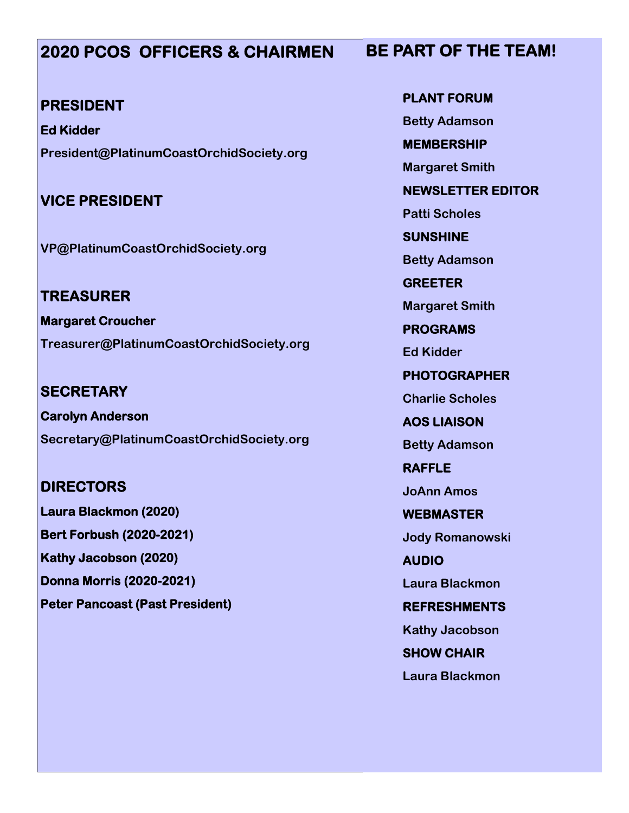## **2020 PCOS OFFICERS & CHAIRMEN**

#### **PRESIDENT**

**Ed Kidder President@PlatinumCoastOrchidSociety.org**

#### **VICE PRESIDENT**

**VP@PlatinumCoastOrchidSociety.org**

**TREASURER Margaret Croucher Treasurer@PlatinumCoastOrchidSociety.org**

**SECRETARY Carolyn Anderson Secretary@PlatinumCoastOrchidSociety.org**

### **DIRECTORS**

**Laura Blackmon (2020) Bert Forbush (2020-2021) Kathy Jacobson (2020) Donna Morris (2020-2021) Peter Pancoast (Past President)**

**PLANT FORUM Betty Adamson MEMBERSHIP Margaret Smith NEWSLETTER EDITOR Patti Scholes SUNSHINE Betty Adamson GREETER Margaret Smith PROGRAMS Ed Kidder PHOTOGRAPHER Charlie Scholes AOS LIAISON Betty Adamson RAFFLE JoAnn Amos WEBMASTER Jody Romanowski AUDIO Laura Blackmon REFRESHMENTS Kathy Jacobson SHOW CHAIR**

**Laura Blackmon**

## **BE PART OF THE TEAM!**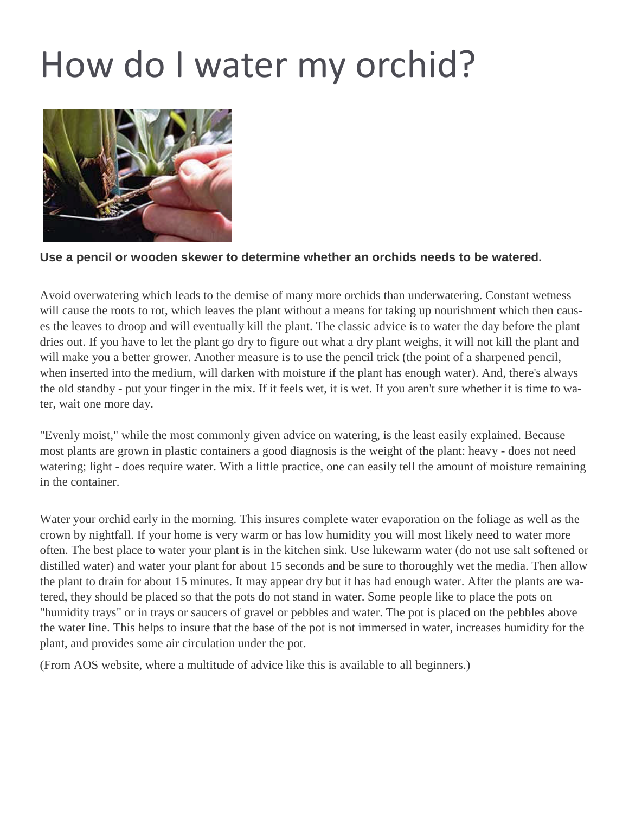## How do I water my orchid?



#### **Use a pencil or wooden skewer to determine whether an orchids needs to be watered.**

Avoid overwatering which leads to the demise of many more orchids than underwatering. Constant wetness will cause the roots to rot, which leaves the plant without a means for taking up nourishment which then causes the leaves to droop and will eventually kill the plant. The classic advice is to water the day before the plant dries out. If you have to let the plant go dry to figure out what a dry plant weighs, it will not kill the plant and will make you a better grower. Another measure is to use the pencil trick (the point of a sharpened pencil, when inserted into the medium, will darken with moisture if the plant has enough water). And, there's always the old standby - put your finger in the mix. If it feels wet, it is wet. If you aren't sure whether it is time to water, wait one more day.

"Evenly moist," while the most commonly given advice on watering, is the least easily explained. Because most plants are grown in plastic containers a good diagnosis is the weight of the plant: heavy - does not need watering; light - does require water. With a little practice, one can easily tell the amount of moisture remaining in the container.

Water your orchid early in the morning. This insures complete water evaporation on the foliage as well as the crown by nightfall. If your home is very warm or has low humidity you will most likely need to water more often. The best place to water your plant is in the kitchen sink. Use lukewarm water (do not use salt softened or distilled water) and water your plant for about 15 seconds and be sure to thoroughly wet the media. Then allow the plant to drain for about 15 minutes. It may appear dry but it has had enough water. After the plants are watered, they should be placed so that the pots do not stand in water. Some people like to place the pots on "humidity trays" or in trays or saucers of gravel or pebbles and water. The pot is placed on the pebbles above the water line. This helps to insure that the base of the pot is not immersed in water, increases humidity for the plant, and provides some air circulation under the pot.

(From AOS website, where a multitude of advice like this is available to all beginners.)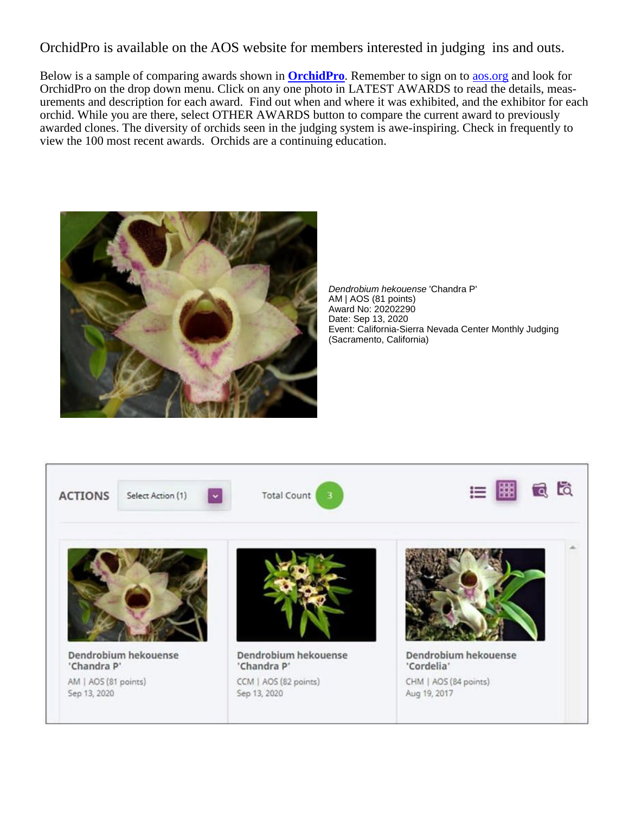OrchidPro is available on the AOS website for members interested in judging ins and outs.

Below is a sample of comparing awards shown in **OrchidPro**. Remember to sign on to aos.org and look for OrchidPro on the drop down menu. Click on any one photo in LATEST AWARDS to read the details, measurements and description for each award. Find out when and where it was exhibited, and the exhibitor for each orchid. While you are there, select OTHER AWARDS button to compare the current award to previously awarded clones. The diversity of orchids seen in the judging system is awe-inspiring. Check in frequently to view the 100 most recent awards. Orchids are a continuing education.



*Dendrobium hekouense* 'Chandra P' AM | AOS (81 points) Award No: 20202290 Date: Sep 13, 2020 Event: California-Sierra Nevada Center Monthly Judging (Sacramento, California)